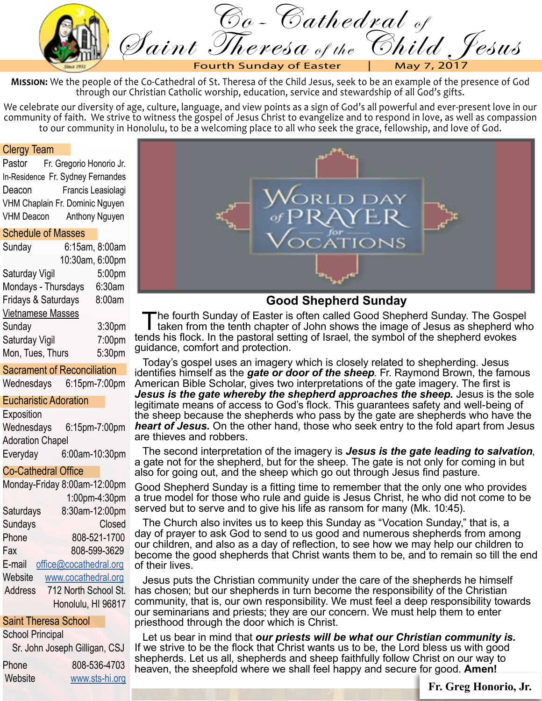Fourth Sunday of Easter | May 7, 2017 Co-Cathedral of Saint Theresa of the Child Jesus

**Mission:** We the people of the Co-Cathedral of St. Theresa of the Child Jesus, seek to be an example of the presence of God through our Christian Catholic worship, education, service and stewardship of all God's gifts.

We celebrate our diversity of age, culture, language, and view points as a sign of God's all powerful and ever-present love in our community of faith. We strive to witness the gospel of Jesus Christ to evangelize and to respond in love, as well as compassion to our community in Honolulu, to be a welcoming place to all who seek the grace, fellowship, and love of God.

#### Clergy Team

Ī

Pastor Fr. Gregorio Honorio Jr. In-Residence Fr. Sydney Fernandes Deacon Francis Leasiolagi VHM Chaplain Fr. Dominic Nguyen VHM Deacon Anthony Nguyen

#### Schedule of Masses

| Sunday                   | 6:15am, 8:00am  |        |
|--------------------------|-----------------|--------|
|                          | 10:30am, 6:00pm |        |
| Saturday Vigil           |                 | 5:00pm |
| Mondays - Thursdays      |                 | 6:30am |
| Fridays & Saturdays      |                 | 8:00am |
| <b>Vietnamese Masses</b> |                 |        |
| Sunday                   |                 | 3:30pm |
| Saturday Vigil           |                 | 7:00pm |
| Mon, Tues, Thurs         |                 | 5:30pm |

#### Sacrament of Reconciliation

Wednesdays 6:15pm-7:00pm

Eucharistic Adoration

Exposition

Wednesdays 6:15pm-7:00pm Adoration Chapel Everyday 6:00am-10:30pm

#### Co-Cathedral Office

|                | Monday-Friday 8:00am-12:00pm |
|----------------|------------------------------|
|                | 1:00pm-4:30pm                |
| Saturdays      | 8:30am-12:00pm               |
| <b>Sundays</b> | Closed                       |
| Phone          | 808-521-1700                 |
| Fax            | 808-599-3629                 |
| E-mail         | office@cocathedral.org       |
| Website        | www.cocathedral.org          |
| <b>Address</b> | 712 North School St.         |
|                | Honolulu, HI 96817           |

#### Saint Theresa School

School Principal

| Sr. John Joseph Gilligan, CSJ |
|-------------------------------|
|-------------------------------|

| Phone   | 808-536-4703   |
|---------|----------------|
| Website | www.sts-hi.org |



#### **Good Shepherd Sunday**

The fourth Sunday of Easter is often called Good Shepherd Sunday. The Gospel<br>taken from the tenth chapter of John shows the image of Jesus as shepherd who tends his flock. In the pastoral setting of Israel, the symbol of the shepherd evokes guidance, comfort and protection.

Today's gospel uses an imagery which is closely related to shepherding. Jesus identifies himself as the *gate or door of the sheep*. Fr. Raymond Brown, the famous American Bible Scholar, gives two interpretations of the gate imagery. The first is **Jesus is the gate whereby the shepherd approaches the sheep.** Jesus is the sole legitimate means of access to God's flock. This guarantees safety and well-being of the sheep because the shepherds who pass by the gate are shepherds who have the *heart of Jesus.* On the other hand, those who seek entry to the fold apart from Jesus are thieves and robbers.

The second interpretation of the imagery is *Jesus is the gate leading to salvation*, a gate not for the shepherd, but for the sheep. The gate is not only for coming in but also for going out, and the sheep which go out through Jesus find pasture.

Good Shepherd Sunday is a fitting time to remember that the only one who provides a true model for those who rule and guide is Jesus Christ, he who did not come to be served but to serve and to give his life as ransom for many (Mk. 10:45).

The Church also invites us to keep this Sunday as "Vocation Sunday," that is, a day of prayer to ask God to send to us good and numerous shepherds from among our children, and also as a day of reflection, to see how we may help our children to become the good shepherds that Christ wants them to be, and to remain so till the end of their lives.

Jesus puts the Christian community under the care of the shepherds he himself has chosen; but our shepherds in turn become the responsibility of the Christian community, that is, our own responsibility. We must feel a deep responsibility towards our seminarians and priests; they are our concern. We must help them to enter priesthood through the door which is Christ.

Let us bear in mind that *our priests will be what our Christian community is.* If we strive to be the flock that Christ wants us to be, the Lord bless us with good shepherds. Let us all, shepherds and sheep faithfully follow Christ on our way to heaven, the sheepfold where we shall feel happy and secure for good. **Amen!**

**Fr. Greg Honorio, Jr.**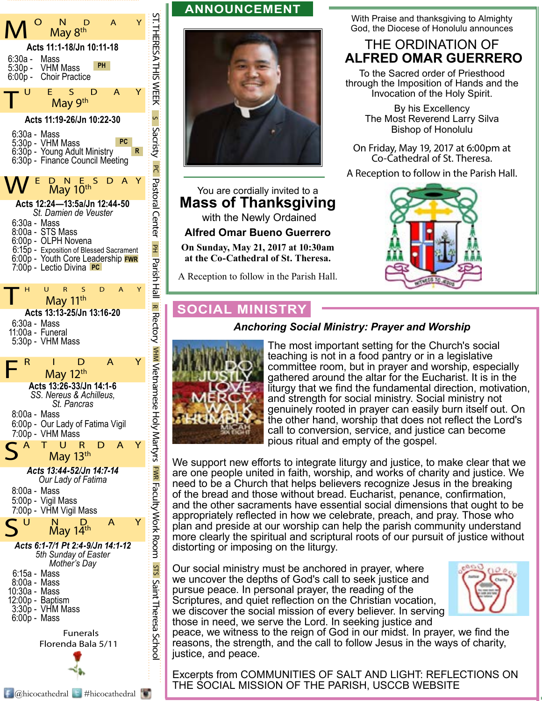

## **ANNOUNCEMENT**



## You are cordially invited to a **Mass of Thanksgiving**

with the Newly Ordained

#### **Alfred Omar Bueno Guerrero**

**On Sunday, May 21, 2017 at 10:30am at the Co-Cathedral of St. Theresa.**

A Reception to follow in the Parish Hall.

With Praise and thanksgiving to Almighty God, the Diocese of Honolulu announces

## THE ORDINATION OF **ALFRED OMAR GUERRERO**

To the Sacred order of Priesthood through the Imposition of Hands and the Invocation of the Holy Spirit.

> By his Excellency The Most Reverend Larry Silva Bishop of Honolulu

On Friday, May 19, 2017 at 6:00pm at Co-Cathedral of St. Theresa.

A Reception to follow in the Parish Hall.



# **SOCIAL MINISTRY**



## *Anchoring Social Ministry: Prayer and Worship*

The most important setting for the Church's social teaching is not in a food pantry or in a legislative committee room, but in prayer and worship, especially gathered around the altar for the Eucharist. It is in the liturgy that we find the fundamental direction, motivation, and strength for social ministry. Social ministry not genuinely rooted in prayer can easily burn itself out. On the other hand, worship that does not reflect the Lord's call to conversion, service, and justice can become pious ritual and empty of the gospel.

We support new efforts to integrate liturgy and justice, to make clear that we are one people united in faith, worship, and works of charity and justice. We need to be a Church that helps believers recognize Jesus in the breaking of the bread and those without bread. Eucharist, penance, confirmation, and the other sacraments have essential social dimensions that ought to be appropriately reflected in how we celebrate, preach, and pray. Those who plan and preside at our worship can help the parish community understand more clearly the spiritual and scriptural roots of our pursuit of justice without distorting or imposing on the liturgy.

Our social ministry must be anchored in prayer, where we uncover the depths of God's call to seek justice and pursue peace. In personal prayer, the reading of the Scriptures, and quiet reflection on the Christian vocation, we discover the social mission of every believer. In serving those in need, we serve the Lord. In seeking justice and



peace, we witness to the reign of God in our midst. In prayer, we find the reasons, the strength, and the call to follow Jesus in the ways of charity, justice, and peace.

Excerpts from COMMUNITIES OF SALT AND LIGHT: REFLECTIONS ON THE SOCIAL MISSION OF THE PARISH, USCCB WEBSITE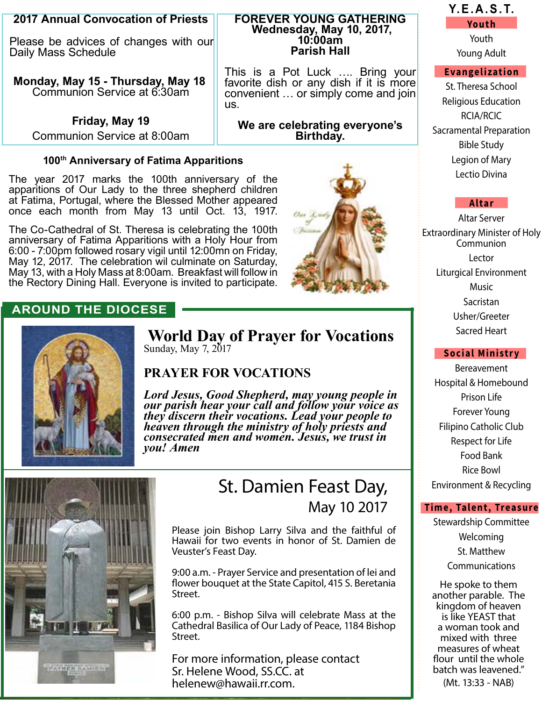## **2017 Annual Convocation of Priests**

Please be advices of changes with our Daily Mass Schedule

# **Monday, May 15 - Thursday, May 18** Communion Service at 6:30am

**Friday, May 19**

Communion Service at 8:00am

#### **100th Anniversary of Fatima Apparitions**

The year 2017 marks the 100th anniversary of the apparitions of Our Lady to the three shepherd children at Fatima, Portugal, where the Blessed Mother appeared once each month from May 13 until Oct. 13, 1917.

The Co-Cathedral of St. Theresa is celebrating the 100th anniversary of Fatima Apparitions with a Holy Hour from 6:00 - 7:00pm followed rosary vigil until 12:00mn on Friday, May 12, 2017. The celebration wil culminate on Saturday, May 13, with a Holy Mass at 8:00am. Breakfast will follow in the Rectory Dining Hall. Everyone is invited to participate.

## **AROUND THE DIOCESE**



## **World Day of Prayer for Vocations** Sunday, May 7, 2017

## **PRAYER FOR VOCATIONS**

*Lord Jesus, Good Shepherd, may young people in our parish hear your call and follow your voice as they discern their vocations. Lead your people to heaven through the ministry of holy priests and consecrated men and women. Jesus, we trust in you! Amen*



# St. Damien Feast Day, May 10 2017

Please join Bishop Larry Silva and the faithful of Hawaii for two events in honor of St. Damien de Veuster's Feast Day.

9:00 a.m. - Prayer Service and presentation of lei and flower bouquet at the State Capitol, 415 S. Beretania Street.

6:00 p.m. - Bishop Silva will celebrate Mass at the Cathedral Basilica of Our Lady of Peace, 1184 Bishop Street.

For more information, please contact Sr. Helene Wood, SS.CC. at helenew@hawaii.rr.com.

## **FOREVER YOUNG GATHERING Wednesday, May 10, 2017, 10:00am Parish Hall**

This is a Pot Luck …. Bring your favorite dish or any dish if it is more convenient … or simply come and join us.

**We are celebrating everyone's Birthday.**





#### **Evangelization**

[St. Theresa School](https://www.cocathedral.org/www.sts-hi.org) [Religious Education](https://www.cocathedral.org/35) RCIA/RCIC Sacramental Preparation Bible Study [Legion of Mary](https://www.cocathedral.org/149) Lectio Divina

#### **Altar**

Altar Server Extraordinary Minister of Holy Communion Lector Liturgical Environment Music Sacristan Usher/Greeter Sacred Heart

#### **Social Ministry**

[Bereavement](https://www.cocathedral.org/143) Hospital & Homebound Prison Life [Forever Young](https://www.cocathedral.org/67) [Filipino Catholic Club](https://www.cocathedral.org/68) Respect for Life Food Bank Rice Bowl Environment & Recycling

#### **Time, Talent, Treasure**

[Stewardship Committee](https://www.cocathedral.org/115) Welcoming [St. Matthew](https://www.cocathedral.org/132) **[Communications](https://www.cocathedral.org/134)** 

He spoke to them another parable. The kingdom of heaven is like YEAST that a woman took and mixed with three measures of wheat flour until the whole batch was leavened." (Mt. 13:33 - NAB)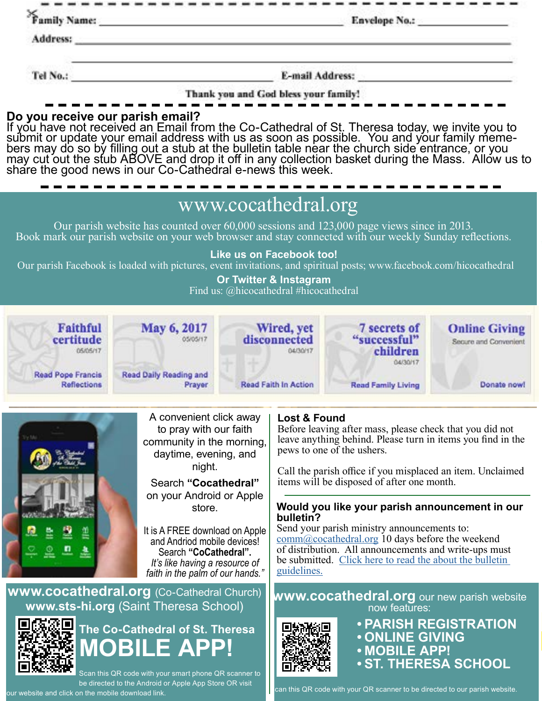| Family Name: _______                                                                                                                               |                                                                                                                                                                                                                                                                                                                                                                       |                                                                | Envelope No.:                                                                                                                                                                                                                                                                                                                                                                                                                                                                                                                               |                                                              |
|----------------------------------------------------------------------------------------------------------------------------------------------------|-----------------------------------------------------------------------------------------------------------------------------------------------------------------------------------------------------------------------------------------------------------------------------------------------------------------------------------------------------------------------|----------------------------------------------------------------|---------------------------------------------------------------------------------------------------------------------------------------------------------------------------------------------------------------------------------------------------------------------------------------------------------------------------------------------------------------------------------------------------------------------------------------------------------------------------------------------------------------------------------------------|--------------------------------------------------------------|
| Address:                                                                                                                                           |                                                                                                                                                                                                                                                                                                                                                                       |                                                                |                                                                                                                                                                                                                                                                                                                                                                                                                                                                                                                                             |                                                              |
| Tel No.:                                                                                                                                           | E-mail Address: The Contract of the Contract of the Contract of the Contract of the Contract of the Contract of the Contract of the Contract of the Contract of the Contract of the Contract of the Contract of the Contract o                                                                                                                                        |                                                                |                                                                                                                                                                                                                                                                                                                                                                                                                                                                                                                                             |                                                              |
|                                                                                                                                                    | Thank you and God bless your family!                                                                                                                                                                                                                                                                                                                                  |                                                                |                                                                                                                                                                                                                                                                                                                                                                                                                                                                                                                                             |                                                              |
| Do you receive our parish email?                                                                                                                   | If you have not received an Email from the Co-Cathedral of St. Theresa today, we invite you to submit or update your email address with us as soon as possible. You and your family memebers may do so by filling out a stub a                                                                                                                                        |                                                                |                                                                                                                                                                                                                                                                                                                                                                                                                                                                                                                                             |                                                              |
|                                                                                                                                                    | www.cocathedral.org                                                                                                                                                                                                                                                                                                                                                   |                                                                |                                                                                                                                                                                                                                                                                                                                                                                                                                                                                                                                             |                                                              |
|                                                                                                                                                    | Our parish website has counted over 60,000 sessions and 123,000 page views since in 2013.<br>Book mark our parish website on your web browser and stay connected with our weekly Sunday reflections.<br>Our parish Facebook is loaded with pictures, event invitations, and spiritual posts; www.facebook.com/hicocathedral<br>Find us: @hicocathedral #hicocathedral | Like us on Facebook too!<br>Or Twitter & Instagram             |                                                                                                                                                                                                                                                                                                                                                                                                                                                                                                                                             |                                                              |
| <b>Faithful</b><br>certitude<br>05/05/17<br><b>Read Pope Francis</b><br><b>Reflections</b>                                                         | May 6, 2017<br>05/05/17<br><b>Read Daily Reading and</b><br>Prayer                                                                                                                                                                                                                                                                                                    | Wired, yet<br>disconnected<br>04/30/17<br>Read Faith In Action | 7 secrets of<br>"successful"<br>children<br>04/30/17<br><b>Read Family Living</b>                                                                                                                                                                                                                                                                                                                                                                                                                                                           | <b>Online Giving</b><br>Secure and Convenient<br>Donate now! |
|                                                                                                                                                    | A convenient click away<br>to pray with our faith<br>community in the morning,<br>daytime, evening, and<br>night.<br>Search "Cocathedral"<br>on your Android or Apple<br>store.<br>It is A FREE download on Apple<br>and Andriod mobile devices!<br>Search "CoCathedral".<br>It's like having a resource of<br>faith in the palm of our hands."                       | <b>Lost &amp; Found</b><br>bulletin?<br>guidelines.            | Before leaving after mass, please check that you did not<br>leave anything behind. Please turn in items you find in the<br>pews to one of the ushers.<br>Call the parish office if you misplaced an item. Unclaimed<br>items will be disposed of after one month.<br>Would you like your parish announcement in our<br>Send your parish ministry announcements to:<br>$comm@cocathedral.org$ 10 days before the weekend<br>of distribution. All announcements and write-ups must<br>be submitted. Click here to read the about the bulletin |                                                              |
| <b>WWW.COCathedral.org</b> (Co-Cathedral Church)<br>www.sts-hi.org (Saint Theresa School)<br>The Co-Cathedral of St. Theresa<br><b>MOBILE APP!</b> |                                                                                                                                                                                                                                                                                                                                                                       |                                                                | www.cocathedral.org our new parish website<br>now features:<br><b>. ONLINE GIVING</b><br><b>. MOBILE APP!</b>                                                                                                                                                                                                                                                                                                                                                                                                                               | <b>• PARISH REGISTRATION</b><br><b>. ST. THERESA SCHOOL</b>  |

Scan this QR code with your smart phone QR scanner to be directed to the Android or Apple App Store OR visit our website and click on the mobile download link.

can this QR code with your QR scanner to be directed to our parish website.